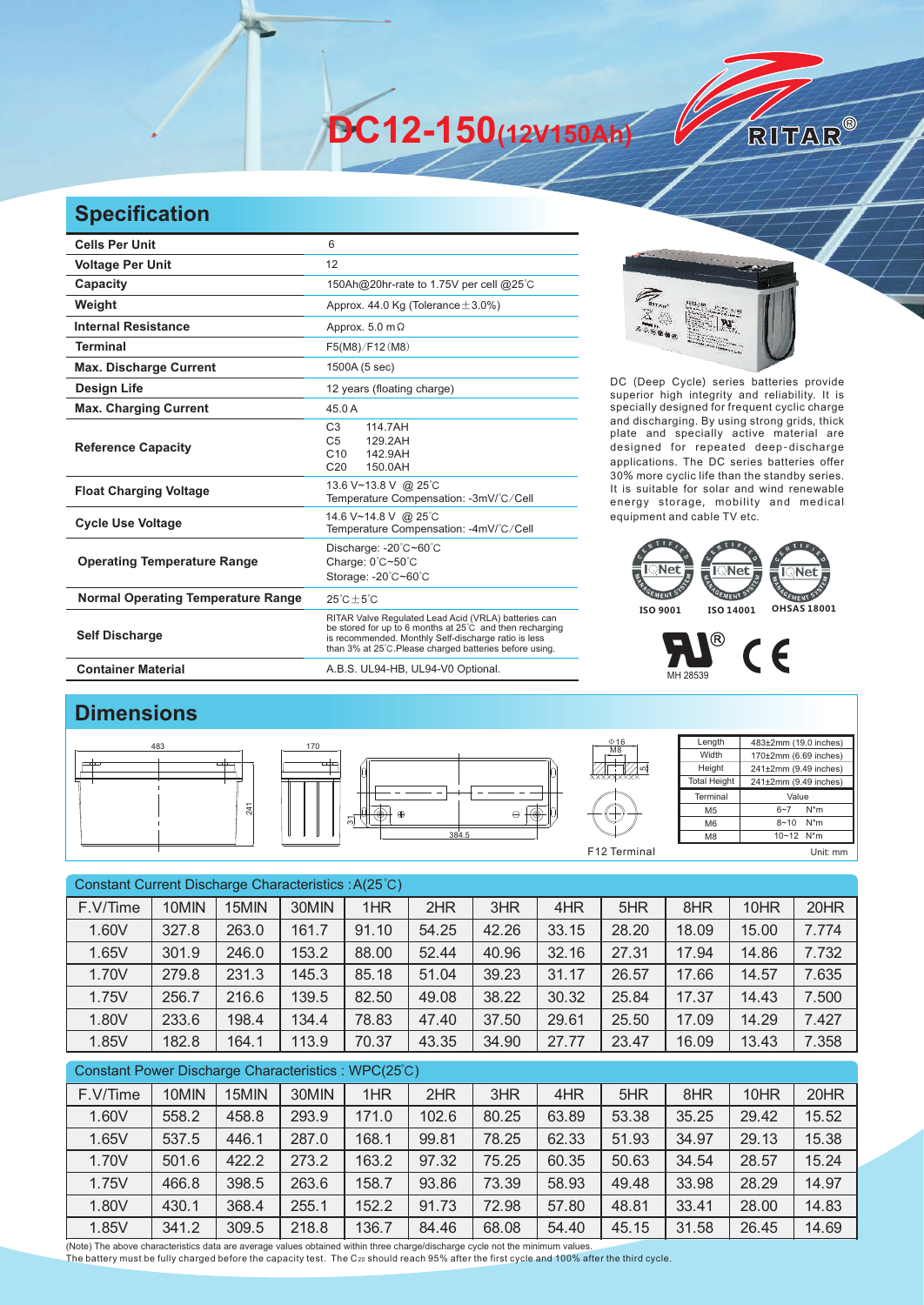**DC12-150(12V150Ah)** 

## **Specification**

| <b>Cells Per Unit</b>                     | 6                                                                                                                                                                                                                                   |  |  |  |  |  |
|-------------------------------------------|-------------------------------------------------------------------------------------------------------------------------------------------------------------------------------------------------------------------------------------|--|--|--|--|--|
| <b>Voltage Per Unit</b>                   | 12                                                                                                                                                                                                                                  |  |  |  |  |  |
| Capacity                                  | 150Ah@20hr-rate to 1.75V per cell @25°C                                                                                                                                                                                             |  |  |  |  |  |
| Weight                                    | Approx. 44.0 Kg (Tolerance $\pm$ 3.0%)                                                                                                                                                                                              |  |  |  |  |  |
| <b>Internal Resistance</b>                | Approx. $5.0 \text{ m}\Omega$                                                                                                                                                                                                       |  |  |  |  |  |
| <b>Terminal</b>                           | F5(M8)/F12(M8)                                                                                                                                                                                                                      |  |  |  |  |  |
| <b>Max. Discharge Current</b>             | 1500A (5 sec)                                                                                                                                                                                                                       |  |  |  |  |  |
| <b>Design Life</b>                        | 12 years (floating charge)                                                                                                                                                                                                          |  |  |  |  |  |
| <b>Max. Charging Current</b>              | 45.0 A                                                                                                                                                                                                                              |  |  |  |  |  |
| <b>Reference Capacity</b>                 | C <sub>3</sub><br>114.7AH<br>C <sub>5</sub><br>129.2AH<br>C10<br>142.9AH<br>C <sub>20</sub><br>150.0AH                                                                                                                              |  |  |  |  |  |
| <b>Float Charging Voltage</b>             | 13.6 V~13.8 V @ 25°C<br>Temperature Compensation: -3mV/°C/Cell                                                                                                                                                                      |  |  |  |  |  |
| <b>Cycle Use Voltage</b>                  | 14.6 V~14.8 V @ 25°C<br>Temperature Compensation: -4mV/°C/Cell                                                                                                                                                                      |  |  |  |  |  |
| <b>Operating Temperature Range</b>        | Discharge: - 20°C~60°C<br>Charge: 0°C~50°C<br>Storage: -20°C~60°C                                                                                                                                                                   |  |  |  |  |  |
| <b>Normal Operating Temperature Range</b> | $25^{\circ}$ C + $5^{\circ}$ C                                                                                                                                                                                                      |  |  |  |  |  |
| <b>Self Discharge</b>                     | RITAR Valve Regulated Lead Acid (VRLA) batteries can<br>be stored for up to 6 months at 25°C and then recharging<br>is recommended. Monthly Self-discharge ratio is less<br>than 3% at 25°C. Please charged batteries before using. |  |  |  |  |  |
| <b>Container Material</b>                 | A.B.S. UL94-HB, UL94-V0 Optional.                                                                                                                                                                                                   |  |  |  |  |  |



RITAR®

DC (Deep Cycle) series batteries provide superior high integrity and reliability. It is specially designed for frequent cyclic charge and discharging. By using strong grids, thick plate and specially active material are designed for repeated deep-discharge applications. The DC series batteries offer 30% more cyclic life than the standby series. It is suitable for solar and wind renewable energy storage, mobility and medical equipment and cable TV etc.



## <sup>®</sup>  $C \in$ MH 28539

## **Dimensions**



| Constant Current Discharge Characteristics: A(25°C) |                      |                |               |            |                      |                          |               |         |                      |               |          |
|-----------------------------------------------------|----------------------|----------------|---------------|------------|----------------------|--------------------------|---------------|---------|----------------------|---------------|----------|
| F.V/Time                                            | 10MIN                | 15MIN          | 30MIN         | 1HR        | 2HR                  | 3HR                      | 4HR           | 5HR     | 8HR                  | 10HR          | 20HR     |
| 1.60V                                               | 327.8                | 263.0          | 161.7         | 91.10      | 54.25                | 42.26                    | 33.15         | 28.20   | 18.09                | 15.00         | 7.774    |
| 1.65V                                               | 301.9                | 246.0          | 153.2         | 88.00      | 52.44                | 40.96                    | 32.16         | 27.31   | 17.94                | 14.86         | 7.732    |
| 1.70V                                               | 279.8                | 231.3          | 145.3         | 85.18      | 51.04                | 39.23                    | 31.17         | 26.57   | 17.66                | 14.57         | 7.635    |
| 1.75V                                               | 256.7                | 216.6          | 139.5         | 82.50      | 49.08                | 38.22                    | 30.32         | 25.84   | 17.37                | 14.43         | 7.500    |
| 1.80V                                               | 233.6                | 198.4          | 134.4         | 78.83      | 47.40                | 37.50                    | 29.61         | 25.50   | 17.09                | 14.29         | 7.427    |
| 1.85V                                               | 182.8                | 164.1          | 113.9         | 70.37      | 43.35                | 34.90                    | 27.77         | 23.47   | 16.09                | 13.43         | 7.358    |
| Constant Power Discharge Characteristics: WPC(25°C) |                      |                |               |            |                      |                          |               |         |                      |               |          |
| F.V/Time                                            | 10MIN                | 15MIN          | 30MIN         | 1HR        | 2HR                  | 3HR                      | 4HR           | 5HR     | 8HR                  | 10HR          | 20HR     |
| 1.60V                                               | 558.2                | 458.8          | 293.9         | 171.0      | 102.6                | 80.25                    | 63.89         | 53.38   | 35.25                | 29.42         | 15.52    |
| $\lambda$ $\sim$ $\sim$ $\lambda$                   | $\sim$ $\sim$ $\sim$ | $\overline{1}$ | $\sim$ $\sim$ | $\sqrt{2}$ | $\sim$ $\sim$ $\sim$ | $\overline{\phantom{a}}$ | $\sim$ $\sim$ | $-1.00$ | $\sim$ $\sim$ $\sim$ | $\sim$ $\sim$ | $1 - 00$ |

1.65V | 537.5 | 446.1 | 287.0 | 168.1 | 99.81 | 78.25 | 62.33 | 51.93 | 34.97 | 29.13 | 15.38 1.70V | 501.6 | 422.2 | 273.2 | 163.2 | 97.32 | 75.25 | 60.35 | 50.63 | 34.54 | 28.57 | 15.24 1.75V | 466.8 | 398.5 | 263.6 | 158.7 | 93.86 | 73.39 | 58.93 | 49.48 | 33.98 | 28.29 | 14.97 1.80V 430.1 368.4 255.1 152.2 91.73 72.98 57.80 48.81 33.41 28.00 14.83 1.85V | 341.2 | 309.5 | 218.8 | 136.7 | 84.46 | 68.08 | 54.40 | 45.15 | 31.58 | 26.45 | 14.69

(Note) The above characteristics data are average values obtained within three charge/discharge cycle not the minimum values.<br>The battery must be fully charged before the capacity test. The C20 should reach 95% after the